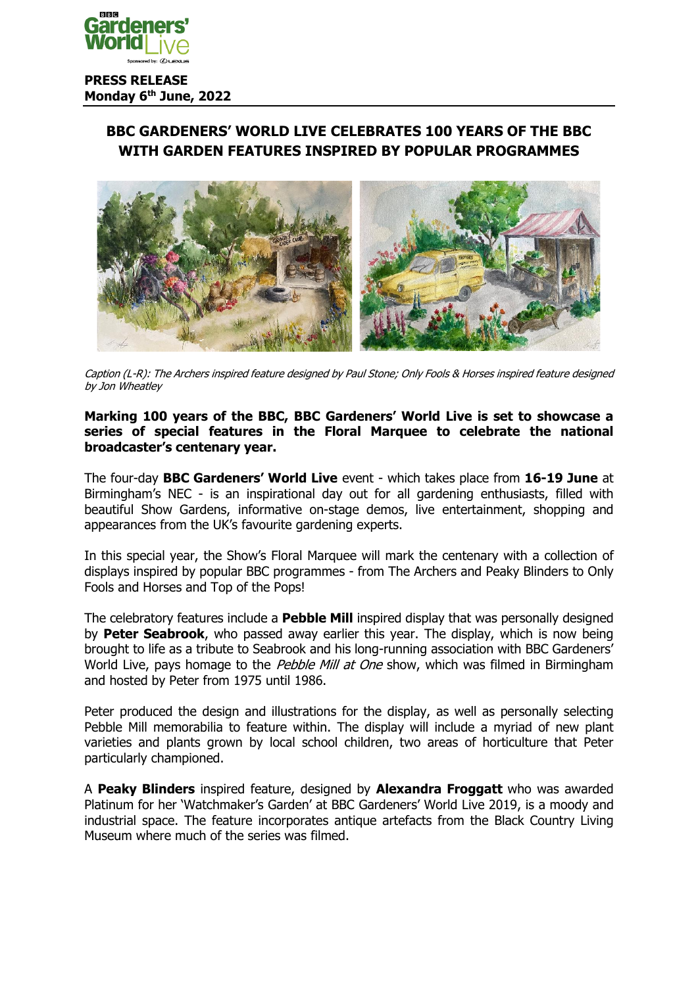

# **BBC GARDENERS' WORLD LIVE CELEBRATES 100 YEARS OF THE BBC WITH GARDEN FEATURES INSPIRED BY POPULAR PROGRAMMES**



Caption (L-R): The Archers inspired feature designed by Paul Stone; Only Fools & Horses inspired feature designed by Jon Wheatley

#### **Marking 100 years of the BBC, BBC Gardeners' World Live is set to showcase a series of special features in the Floral Marquee to celebrate the national broadcaster's centenary year.**

The four-day **BBC Gardeners' World Live** event - which takes place from **16-19 June** at Birmingham's NEC - is an inspirational day out for all gardening enthusiasts, filled with beautiful Show Gardens, informative on-stage demos, live entertainment, shopping and appearances from the UK's favourite gardening experts.

In this special year, the Show's Floral Marquee will mark the centenary with a collection of displays inspired by popular BBC programmes - from The Archers and Peaky Blinders to Only Fools and Horses and Top of the Pops!

The celebratory features include a **Pebble Mill** inspired display that was personally designed by **Peter Seabrook**, who passed away earlier this year. The display, which is now being brought to life as a tribute to Seabrook and his long-running association with BBC Gardeners' World Live, pays homage to the Pebble Mill at One show, which was filmed in Birmingham and hosted by Peter from 1975 until 1986.

Peter produced the design and illustrations for the display, as well as personally selecting Pebble Mill memorabilia to feature within. The display will include a myriad of new plant varieties and plants grown by local school children, two areas of horticulture that Peter particularly championed.

A **Peaky Blinders** inspired feature, designed by **Alexandra Froggatt** who was awarded Platinum for her 'Watchmaker's Garden' at BBC Gardeners' World Live 2019, is a moody and industrial space. The feature incorporates antique artefacts from the Black Country Living Museum where much of the series was filmed.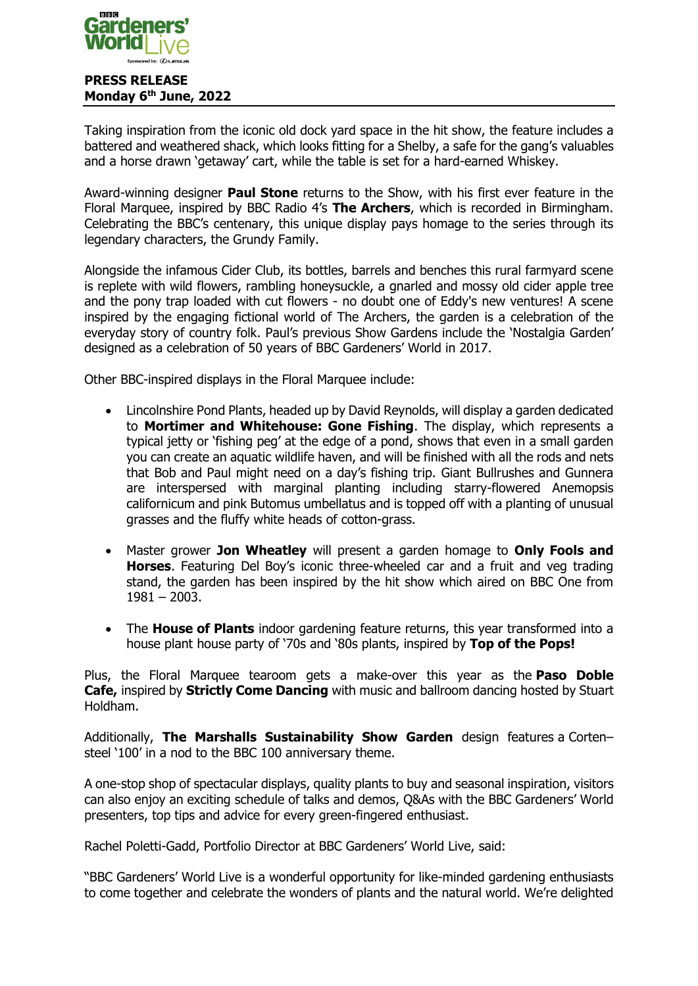

Taking inspiration from the iconic old dock yard space in the hit show, the feature includes a battered and weathered shack, which looks fitting for a Shelby, a safe for the gang's valuables and a horse drawn 'getaway' cart, while the table is set for a hard-earned Whiskey.

Award-winning designer **Paul Stone** returns to the Show, with his first ever feature in the Floral Marquee, inspired by BBC Radio 4's **The Archers**, which is recorded in Birmingham. Celebrating the BBC's centenary, this unique display pays homage to the series through its legendary characters, the Grundy Family.

Alongside the infamous Cider Club, its bottles, barrels and benches this rural farmyard scene is replete with wild flowers, rambling honeysuckle, a gnarled and mossy old cider apple tree and the pony trap loaded with cut flowers - no doubt one of Eddy's new ventures! A scene inspired by the engaging fictional world of The Archers, the garden is a celebration of the everyday story of country folk. Paul's previous Show Gardens include the 'Nostalgia Garden' designed as a celebration of 50 years of BBC Gardeners' World in 2017.

Other BBC-inspired displays in the Floral Marquee include:

- Lincolnshire Pond Plants, headed up by David Reynolds, will display a garden dedicated to **Mortimer and Whitehouse: Gone Fishing**. The display, which represents a typical jetty or 'fishing peg' at the edge of a pond, shows that even in a small garden you can create an aquatic wildlife haven, and will be finished with all the rods and nets that Bob and Paul might need on a day's fishing trip. Giant Bullrushes and Gunnera are interspersed with marginal planting including starry-flowered Anemopsis californicum and pink Butomus umbellatus and is topped off with a planting of unusual grasses and the fluffy white heads of cotton-grass.
- Master grower **Jon Wheatley** will present a garden homage to **Only Fools and Horses**. Featuring Del Boy's iconic three-wheeled car and a fruit and veg trading stand, the garden has been inspired by the hit show which aired on BBC One from  $1981 - 2003$ .
- The **House of Plants** indoor gardening feature returns, this year transformed into a house plant house party of '70s and '80s plants, inspired by **Top of the Pops!**

Plus, the Floral Marquee tearoom gets a make-over this year as the **Paso Doble Cafe,** inspired by **Strictly Come Dancing** with music and ballroom dancing hosted by Stuart Holdham.

Additionally, **The Marshalls Sustainability Show Garden** design features a Corten– steel '100' in a nod to the BBC 100 anniversary theme.

A one-stop shop of spectacular displays, quality plants to buy and seasonal inspiration, visitors can also enjoy an exciting schedule of talks and demos, Q&As with the BBC Gardeners' World presenters, top tips and advice for every green-fingered enthusiast.

Rachel Poletti-Gadd, Portfolio Director at BBC Gardeners' World Live, said:

"BBC Gardeners' World Live is a wonderful opportunity for like-minded gardening enthusiasts to come together and celebrate the wonders of plants and the natural world. We're delighted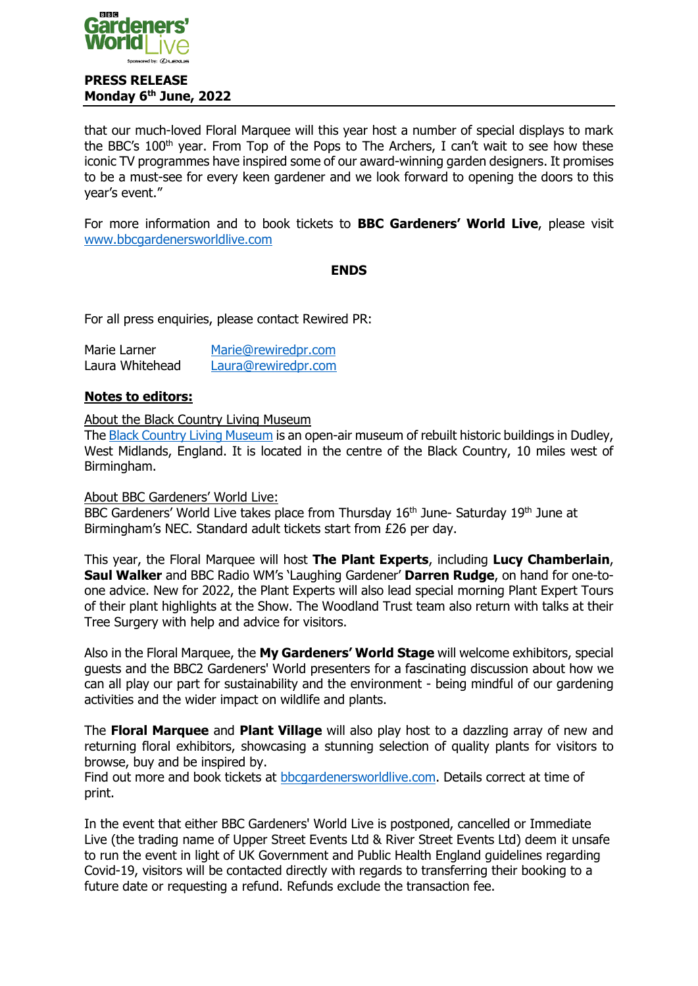

that our much-loved Floral Marquee will this year host a number of special displays to mark the BBC's 100<sup>th</sup> year. From Top of the Pops to The Archers, I can't wait to see how these iconic TV programmes have inspired some of our award-winning garden designers. It promises to be a must-see for every keen gardener and we look forward to opening the doors to this year's event."

For more information and to book tickets to **BBC Gardeners' World Live**, please visit [www.bbcgardenersworldlive.com](http://www.bbcgardenersworldlive.com/)

#### **ENDS**

For all press enquiries, please contact Rewired PR:

| Marie Larner    | Marie@rewiredpr.com |
|-----------------|---------------------|
| Laura Whitehead | Laura@rewiredpr.com |

### **Notes to editors:**

About the Black Country Living Museum

The [Black Country Living Museum](https://bclm.com/) is an open-air museum of rebuilt historic buildings in Dudley, West Midlands, England. It is located in the centre of the Black Country, 10 miles west of Birmingham.

About BBC Gardeners' World Live:

BBC Gardeners' World Live takes place from Thursday 16<sup>th</sup> June- Saturday 19<sup>th</sup> June at Birmingham's NEC. Standard adult tickets start from £26 per day.

This year, the Floral Marquee will host **The Plant Experts**, including **Lucy Chamberlain**, **Saul Walker** and BBC Radio WM's 'Laughing Gardener' **Darren Rudge**, on hand for one-toone advice. New for 2022, the Plant Experts will also lead special morning Plant Expert Tours of their plant highlights at the Show. The Woodland Trust team also return with talks at their Tree Surgery with help and advice for visitors.

Also in the Floral Marquee, the **My Gardeners' World Stage** will welcome exhibitors, special guests and the BBC2 Gardeners' World presenters for a fascinating discussion about how we can all play our part for sustainability and the environment - being mindful of our gardening activities and the wider impact on wildlife and plants.

The **Floral Marquee** and **Plant Village** will also play host to a dazzling array of new and returning floral exhibitors, showcasing a stunning selection of quality plants for visitors to browse, buy and be inspired by.

Find out more and book tickets at [bbcgardenersworldlive.com.](http://www.bbcgardenersworldlive.com/) Details correct at time of print.

In the event that either BBC Gardeners' World Live is postponed, cancelled or Immediate Live (the trading name of Upper Street Events Ltd & River Street Events Ltd) deem it unsafe to run the event in light of UK Government and Public Health England guidelines regarding Covid-19, visitors will be contacted directly with regards to transferring their booking to a future date or requesting a refund. Refunds exclude the transaction fee.